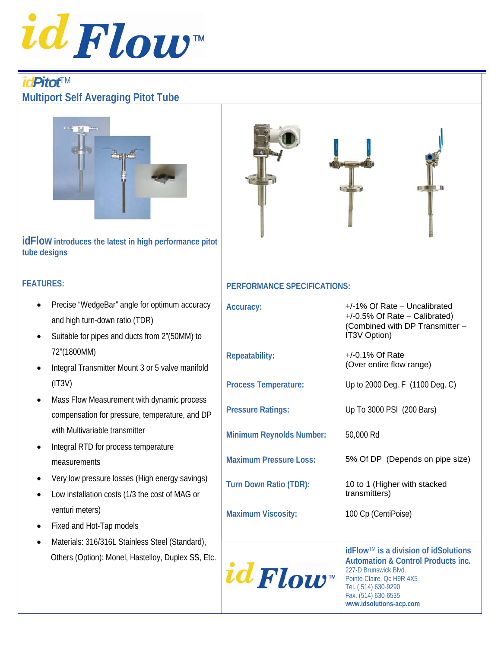

# *idPitot*TM**Multiport Self Averaging Pitot Tube**



#### **idFlow introduces the latest in high performance pitot tube designs**

### **FEATURES:**

- Precise "WedgeBar" angle for optimum accura and high turn-down ratio (TDR)
- Suitable for pipes and ducts from 2"(50MM) to 72"(1800MM)
- Integral Transmitter Mount 3 or 5 valve manifo  $(IT3V)$
- Mass Flow Measurement with dynamic proces compensation for pressure, temperature, and with Multivariable transmitter
- Integral RTD for process temperature measurements
- Very low pressure losses (High energy saving
- Low installation costs (1/3 the cost of MAG or venturi meters)
- Fixed and Hot-Tap models
- Materials: 316/316L Stainless Steel (Standard Others (Option): Monel, Hastelloy, Duplex SS,



### **PERFORMANCE SPECIFICATIONS:**

| асу      | Accuracy:                       | +/-1% Of Rate - Uncalibrated<br>+/-0.5% Of Rate – Calibrated)<br>(Combined with DP Transmitter -<br>IT3V Option) |
|----------|---------------------------------|------------------------------------------------------------------------------------------------------------------|
| blc      | <b>Repeatability:</b>           | $+/-0.1\%$ Of Rate<br>(Over entire flow range)                                                                   |
|          | <b>Process Temperature:</b>     | Up to 2000 Deg. F (1100 Deg. C)                                                                                  |
| SS<br>DP | <b>Pressure Ratings:</b>        | Up To 3000 PSI (200 Bars)                                                                                        |
|          | <b>Minimum Reynolds Number:</b> | 50,000 Rd                                                                                                        |
| JS)      | <b>Maximum Pressure Loss:</b>   | 5% Of DP (Depends on pipe size)                                                                                  |
|          | <b>Turn Down Ratio (TDR):</b>   | 10 to 1 (Higher with stacked<br>transmitters)                                                                    |
|          | <b>Maximum Viscosity:</b>       | 100 Cp (CentiPoise)                                                                                              |
| J),      |                                 |                                                                                                                  |
| , Etc.   |                                 | idFlow™ is a division of idSolutions<br>Automation & Control Products inc.                                       |

**Automation & Control Products inc.**  227-D Brunswick Blvd. Pointe-Claire, Qc H9R 4X5 Tel. ( 514) 630-9290 Fax. (514) 630-6535 **www.idsolutions-acp.com**